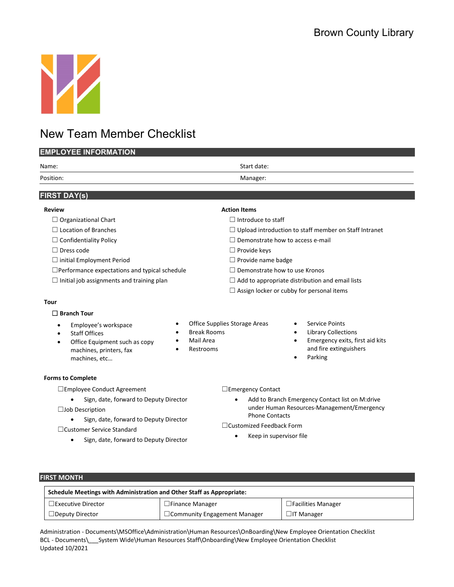

## New Team Member Checklist

| <b>EMPLOYEE INFORMATION</b>                                                                                                                                                                                                                                  |                                                                                                                                                                                                             |  |  |  |  |
|--------------------------------------------------------------------------------------------------------------------------------------------------------------------------------------------------------------------------------------------------------------|-------------------------------------------------------------------------------------------------------------------------------------------------------------------------------------------------------------|--|--|--|--|
| Name:                                                                                                                                                                                                                                                        | Start date:                                                                                                                                                                                                 |  |  |  |  |
| Position:                                                                                                                                                                                                                                                    | Manager:                                                                                                                                                                                                    |  |  |  |  |
| <b>FIRST DAY(s)</b>                                                                                                                                                                                                                                          |                                                                                                                                                                                                             |  |  |  |  |
|                                                                                                                                                                                                                                                              |                                                                                                                                                                                                             |  |  |  |  |
| <b>Review</b>                                                                                                                                                                                                                                                | <b>Action Items</b>                                                                                                                                                                                         |  |  |  |  |
| $\Box$ Organizational Chart                                                                                                                                                                                                                                  | $\Box$ Introduce to staff                                                                                                                                                                                   |  |  |  |  |
| $\Box$ Location of Branches                                                                                                                                                                                                                                  | $\Box$ Upload introduction to staff member on Staff Intranet                                                                                                                                                |  |  |  |  |
| $\Box$ Confidentiality Policy                                                                                                                                                                                                                                | $\Box$ Demonstrate how to access e-mail                                                                                                                                                                     |  |  |  |  |
| $\Box$ Dress code                                                                                                                                                                                                                                            | $\Box$ Provide keys                                                                                                                                                                                         |  |  |  |  |
| $\Box$ initial Employment Period                                                                                                                                                                                                                             | $\Box$ Provide name badge                                                                                                                                                                                   |  |  |  |  |
| $\Box$ Performance expectations and typical schedule                                                                                                                                                                                                         | $\Box$ Demonstrate how to use Kronos                                                                                                                                                                        |  |  |  |  |
| $\Box$ Initial job assignments and training plan                                                                                                                                                                                                             | $\Box$ Add to appropriate distribution and email lists                                                                                                                                                      |  |  |  |  |
|                                                                                                                                                                                                                                                              | $\Box$ Assign locker or cubby for personal items                                                                                                                                                            |  |  |  |  |
| Tour                                                                                                                                                                                                                                                         |                                                                                                                                                                                                             |  |  |  |  |
| $\square$ Branch Tour                                                                                                                                                                                                                                        |                                                                                                                                                                                                             |  |  |  |  |
| $\bullet$<br>Employee's workspace<br>$\bullet$<br><b>Break Rooms</b><br><b>Staff Offices</b><br>$\bullet$<br>$\bullet$<br>Mail Area<br>Office Equipment such as copy<br>$\bullet$<br>٠<br>Restrooms<br>machines, printers, fax<br>$\bullet$<br>machines, etc | Office Supplies Storage Areas<br><b>Service Points</b><br><b>Library Collections</b><br>$\bullet$<br>Emergency exits, first aid kits<br>$\bullet$<br>and fire extinguishers<br>Parking                      |  |  |  |  |
| <b>Forms to Complete</b>                                                                                                                                                                                                                                     |                                                                                                                                                                                                             |  |  |  |  |
| □ Employee Conduct Agreement<br>Sign, date, forward to Deputy Director<br>$\Box$ Job Description<br>Sign, date, forward to Deputy Director<br>□ Customer Service Standard<br>Sign, date, forward to Deputy Director<br>$\bullet$                             | $\Box$ Emergency Contact<br>Add to Branch Emergency Contact list on M:drive<br>under Human Resources-Management/Emergency<br><b>Phone Contacts</b><br>□ Customized Feedback Form<br>Keep in supervisor file |  |  |  |  |

#### **FIRST MONTH**

| Schedule Meetings with Administration and Other Staff as Appropriate: |                                     |                           |  |  |
|-----------------------------------------------------------------------|-------------------------------------|---------------------------|--|--|
| $\square$ Executive Director                                          | $\Box$ Finance Manager              | $\Box$ Facilities Manager |  |  |
| $\Box$ Deputy Director                                                | $\Box$ Community Engagement Manager | $\Box$ IT Manager         |  |  |

Administration - Documents\MSOffice\Administration\Human Resources\OnBoarding\New Employee Orientation Checklist BCL - Documents\\_\_\_System Wide\Human Resources Staff\Onboarding\New Employee Orientation Checklist Updated 10/2021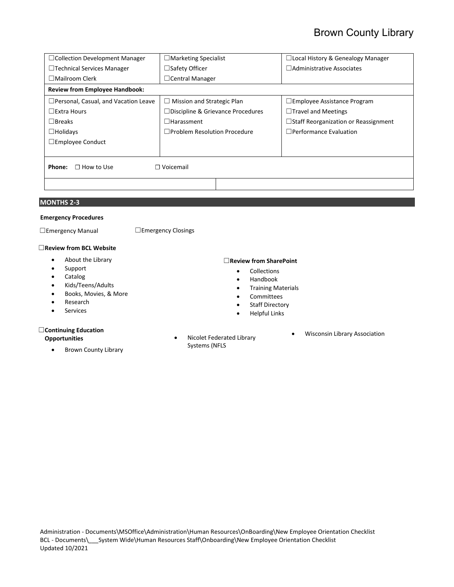| $\Box$ Collection Development Manager           | $\Box$ Marketing Specialist              | $\Box$ Local History & Genealogy Manager    |  |  |  |  |  |
|-------------------------------------------------|------------------------------------------|---------------------------------------------|--|--|--|--|--|
| $\Box$ Technical Services Manager               | $\Box$ Safety Officer                    | $\Box$ Administrative Associates            |  |  |  |  |  |
| $\Box$ Mailroom Clerk                           | $\Box$ Central Manager                   |                                             |  |  |  |  |  |
| <b>Review from Employee Handbook:</b>           |                                          |                                             |  |  |  |  |  |
| $\Box$ Personal, Casual, and Vacation Leave     | $\Box$ Mission and Strategic Plan        | $\square$ Employee Assistance Program       |  |  |  |  |  |
| $\Box$ Extra Hours                              | $\Box$ Discipline & Grievance Procedures | $\Box$ Travel and Meetings                  |  |  |  |  |  |
| $\Box$ Breaks                                   | $\Box$ Harassment                        | $\Box$ Staff Reorganization or Reassignment |  |  |  |  |  |
| $\Box$ Holidays                                 | $\Box$ Problem Resolution Procedure      | $\Box$ Performance Evaluation               |  |  |  |  |  |
| $\Box$ Employee Conduct                         |                                          |                                             |  |  |  |  |  |
|                                                 |                                          |                                             |  |  |  |  |  |
| $\Box$ Voicemail<br>Phone:<br>$\Box$ How to Use |                                          |                                             |  |  |  |  |  |
|                                                 |                                          |                                             |  |  |  |  |  |

#### **MONTHS 2-3**

#### **Emergency Procedures**

☐Emergency Manual ☐Emergency Closings

#### ☐**Review from BCL Website**

- About the Library
- Support
- Catalog
- Kids/Teens/Adults
- Books, Movies, & More
- Research
- Services

#### ☐**Continuing Education**

#### **Opportunities**

• Brown County Library

#### ☐**Review from SharePoint**

- Collections
- Handbook
- Training Materials
- Committees
- Staff Directory
- Helpful Links
- Wisconsin Library Association
- Nicolet Federated Library Systems (NFLS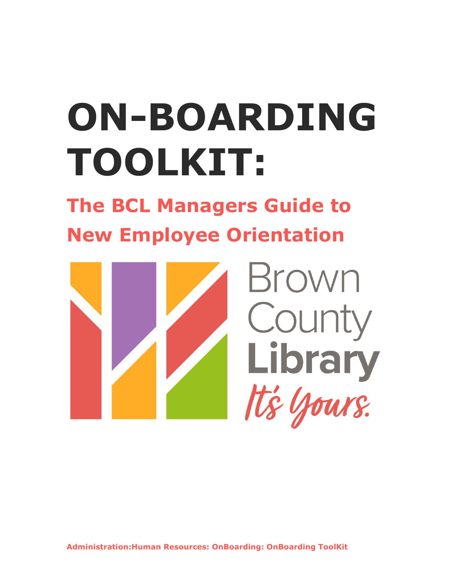# **ON-BOARDING TOOLKIT:**

**The BCL Managers Guide to New Employee Orientation**



**Administration:Human Resources: OnBoarding: OnBoarding ToolKit**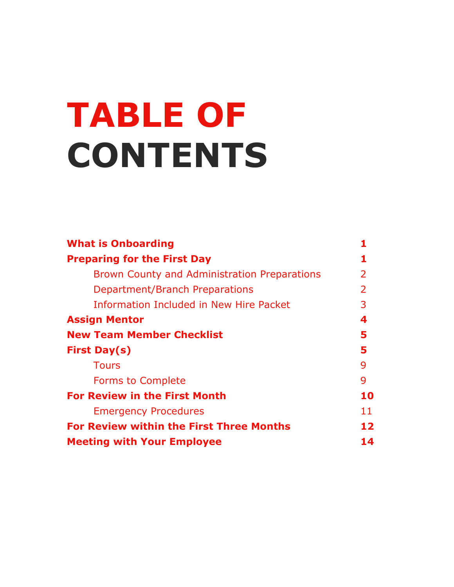# **TABLE OF CONTENTS**

| <b>What is Onboarding</b>                           |    |
|-----------------------------------------------------|----|
| <b>Preparing for the First Day</b>                  |    |
| <b>Brown County and Administration Preparations</b> | 2  |
| Department/Branch Preparations                      | 2  |
| Information Included in New Hire Packet             | 3  |
| <b>Assign Mentor</b>                                | 4  |
| <b>New Team Member Checklist</b>                    | 5  |
| <b>First Day(s)</b>                                 | 5  |
| <b>Tours</b>                                        | 9  |
| <b>Forms to Complete</b>                            | 9  |
| <b>For Review in the First Month</b>                | 10 |
| <b>Emergency Procedures</b>                         | 11 |
| <b>For Review within the First Three Months</b>     | 12 |
| <b>Meeting with Your Employee</b>                   | 14 |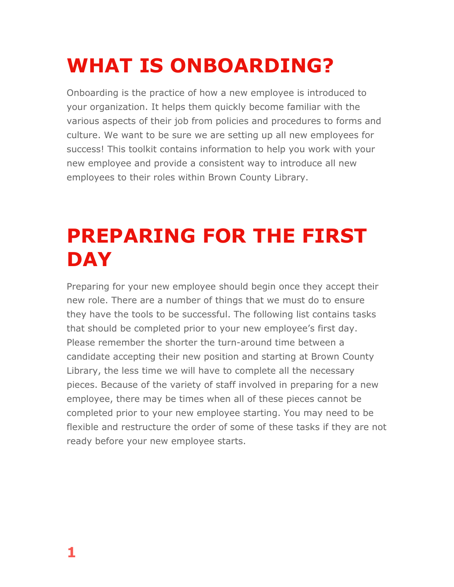# **WHAT IS ONBOARDING?**

Onboarding is the practice of how a new employee is introduced to your organization. It helps them quickly become familiar with the various aspects of their job from policies and procedures to forms and culture. We want to be sure we are setting up all new employees for success! This toolkit contains information to help you work with your new employee and provide a consistent way to introduce all new employees to their roles within Brown County Library.

# **PREPARING FOR THE FIRST DAY**

Preparing for your new employee should begin once they accept their new role. There are a number of things that we must do to ensure they have the tools to be successful. The following list contains tasks that should be completed prior to your new employee's first day. Please remember the shorter the turn-around time between a candidate accepting their new position and starting at Brown County Library, the less time we will have to complete all the necessary pieces. Because of the variety of staff involved in preparing for a new employee, there may be times when all of these pieces cannot be completed prior to your new employee starting. You may need to be flexible and restructure the order of some of these tasks if they are not ready before your new employee starts.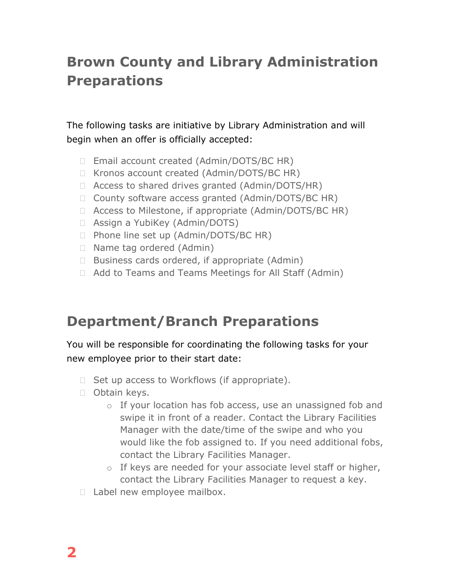## **Brown County and Library Administration Preparations**

The following tasks are initiative by Library Administration and will begin when an offer is officially accepted:

- □ Email account created (Admin/DOTS/BC HR)
- □ Kronos account created (Admin/DOTS/BC HR)
- □ Access to shared drives granted (Admin/DOTS/HR)
- □ County software access granted (Admin/DOTS/BC HR)
- □ Access to Milestone, if appropriate (Admin/DOTS/BC HR)
- Assign a YubiKey (Admin/DOTS)
- $\Box$  Phone line set up (Admin/DOTS/BC HR)
- □ Name tag ordered (Admin)
- $\Box$  Business cards ordered, if appropriate (Admin)
- Add to Teams and Teams Meetings for All Staff (Admin)

## **Department/Branch Preparations**

### You will be responsible for coordinating the following tasks for your new employee prior to their start date:

- $\Box$  Set up access to Workflows (if appropriate).
- Obtain keys.
	- o If your location has fob access, use an unassigned fob and swipe it in front of a reader. Contact the Library Facilities Manager with the date/time of the swipe and who you would like the fob assigned to. If you need additional fobs, contact the Library Facilities Manager.
	- o If keys are needed for your associate level staff or higher, contact the Library Facilities Manager to request a key.
- □ Label new employee mailbox.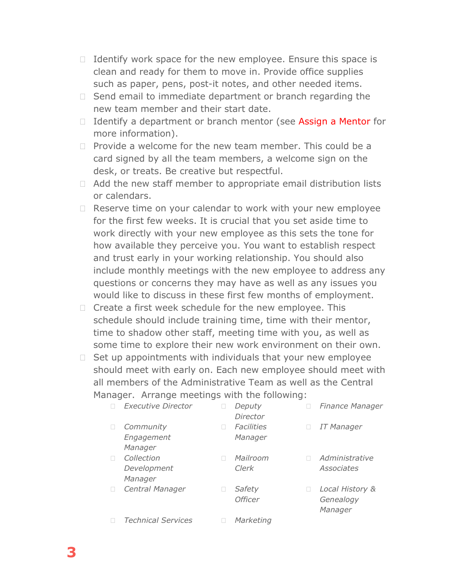- $\Box$  Identify work space for the new employee. Ensure this space is clean and ready for them to move in. Provide office supplies such as paper, pens, post-it notes, and other needed items.
- $\Box$  Send email to immediate department or branch regarding the new team member and their start date.
- □ Identify a department or branch mentor (see Assign a Mentor for more information).
- $\Box$  Provide a welcome for the new team member. This could be a card signed by all the team members, a welcome sign on the desk, or treats. Be creative but respectful.
- $\Box$  Add the new staff member to appropriate email distribution lists or calendars.
- $\Box$  Reserve time on your calendar to work with your new employee for the first few weeks. It is crucial that you set aside time to work directly with your new employee as this sets the tone for how available they perceive you. You want to establish respect and trust early in your working relationship. You should also include monthly meetings with the new employee to address any questions or concerns they may have as well as any issues you would like to discuss in these first few months of employment.
- $\Box$  Create a first week schedule for the new employee. This schedule should include training time, time with their mentor, time to shadow other staff, meeting time with you, as well as some time to explore their new work environment on their own.
- $\Box$  Set up appointments with individuals that your new employee should meet with early on. Each new employee should meet with all members of the Administrative Team as well as the Central Manager. Arrange meetings with the following:

| <b>Executive Director</b>            | Deputy<br>Director           | <b>Finance Manager</b>                  |
|--------------------------------------|------------------------------|-----------------------------------------|
| Community<br>Engagement<br>Manager   | <b>Facilities</b><br>Manager | <b>IT Manager</b>                       |
| Collection<br>Development<br>Manager | Mailroom<br>Clerk            | Administrative<br>Associates            |
| Central Manager                      | Safety<br><b>Officer</b>     | Local History &<br>Genealogy<br>Manager |
| <b>Technical Services</b>            | Marketing                    |                                         |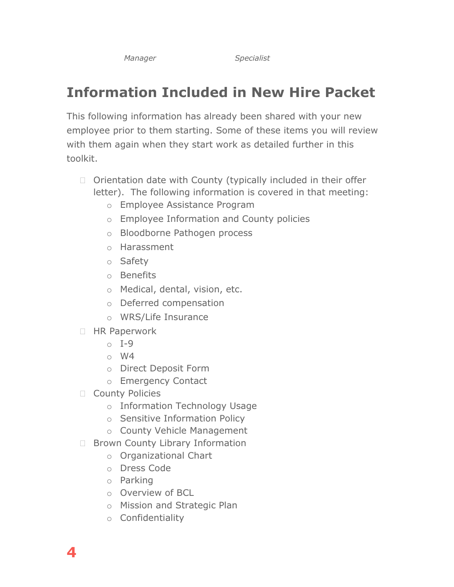*Manager Specialist*

## **Information Included in New Hire Packet**

This following information has already been shared with your new employee prior to them starting. Some of these items you will review with them again when they start work as detailed further in this toolkit.

- $\Box$  Orientation date with County (typically included in their offer letter). The following information is covered in that meeting:
	- o Employee Assistance Program
	- o Employee Information and County policies
	- o Bloodborne Pathogen process
	- o Harassment
	- o Safety
	- o Benefits
	- o Medical, dental, vision, etc.
	- o Deferred compensation
	- o WRS/Life Insurance
- □ HR Paperwork
	- $\circ$  I-9
	- o W4
	- o Direct Deposit Form
	- o Emergency Contact
- □ County Policies
	- o Information Technology Usage
	- o Sensitive Information Policy
	- o County Vehicle Management
- □ Brown County Library Information
	- o Organizational Chart
	- o Dress Code
	- o Parking
	- o Overview of BCL
	- o Mission and Strategic Plan
	- o Confidentiality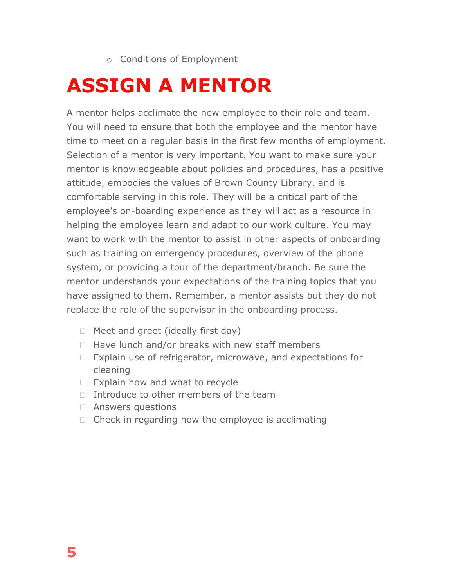o Conditions of Employment

## **ASSIGN A MENTOR**

A mentor helps acclimate the new employee to their role and team. You will need to ensure that both the employee and the mentor have time to meet on a regular basis in the first few months of employment. Selection of a mentor is very important. You want to make sure your mentor is knowledgeable about policies and procedures, has a positive attitude, embodies the values of Brown County Library, and is comfortable serving in this role. They will be a critical part of the employee's on-boarding experience as they will act as a resource in helping the employee learn and adapt to our work culture. You may want to work with the mentor to assist in other aspects of onboarding such as training on emergency procedures, overview of the phone system, or providing a tour of the department/branch. Be sure the mentor understands your expectations of the training topics that you have assigned to them. Remember, a mentor assists but they do not replace the role of the supervisor in the onboarding process.

- $\Box$  Meet and greet (ideally first day)
- $\Box$  Have lunch and/or breaks with new staff members
- $\Box$  Explain use of refrigerator, microwave, and expectations for cleaning
- $\Box$  Explain how and what to recycle
- $\Box$  Introduce to other members of the team
- Answers questions
- $\Box$  Check in regarding how the employee is acclimating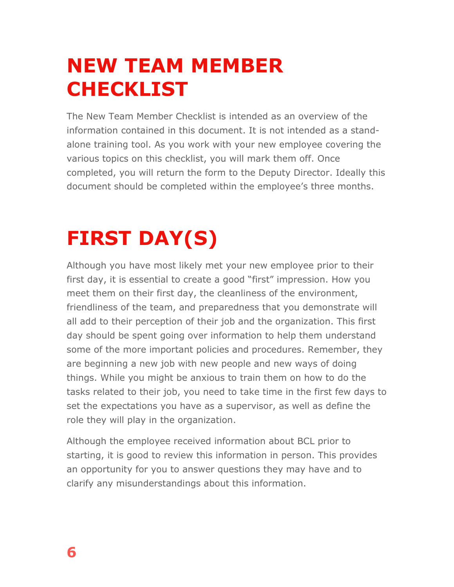# **NEW TEAM MEMBER CHECKLIST**

The New Team Member Checklist is intended as an overview of the information contained in this document. It is not intended as a standalone training tool. As you work with your new employee covering the various topics on this checklist, you will mark them off. Once completed, you will return the form to the Deputy Director. Ideally this document should be completed within the employee's three months.

# **FIRST DAY(S)**

Although you have most likely met your new employee prior to their first day, it is essential to create a good "first" impression. How you meet them on their first day, the cleanliness of the environment, friendliness of the team, and preparedness that you demonstrate will all add to their perception of their job and the organization. This first day should be spent going over information to help them understand some of the more important policies and procedures. Remember, they are beginning a new job with new people and new ways of doing things. While you might be anxious to train them on how to do the tasks related to their job, you need to take time in the first few days to set the expectations you have as a supervisor, as well as define the role they will play in the organization.

Although the employee received information about BCL prior to starting, it is good to review this information in person. This provides an opportunity for you to answer questions they may have and to clarify any misunderstandings about this information.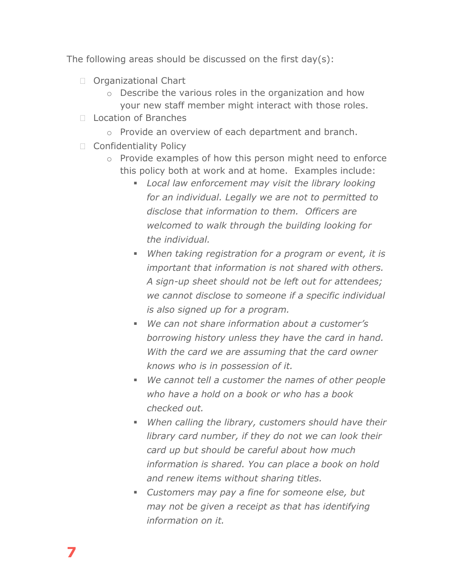The following areas should be discussed on the first day(s):

- □ Organizational Chart
	- o Describe the various roles in the organization and how your new staff member might interact with those roles.
- D Location of Branches
	- o Provide an overview of each department and branch.
- □ Confidentiality Policy
	- o Provide examples of how this person might need to enforce this policy both at work and at home. Examples include:
		- *Local law enforcement may visit the library looking for an individual. Legally we are not to permitted to disclose that information to them. Officers are welcomed to walk through the building looking for the individual.*
		- *When taking registration for a program or event, it is important that information is not shared with others. A sign-up sheet should not be left out for attendees; we cannot disclose to someone if a specific individual is also signed up for a program.*
		- *We can not share information about a customer's borrowing history unless they have the card in hand. With the card we are assuming that the card owner knows who is in possession of it.*
		- *We cannot tell a customer the names of other people who have a hold on a book or who has a book checked out.*
		- *When calling the library, customers should have their library card number, if they do not we can look their card up but should be careful about how much information is shared. You can place a book on hold and renew items without sharing titles.*
		- *Customers may pay a fine for someone else, but may not be given a receipt as that has identifying information on it.*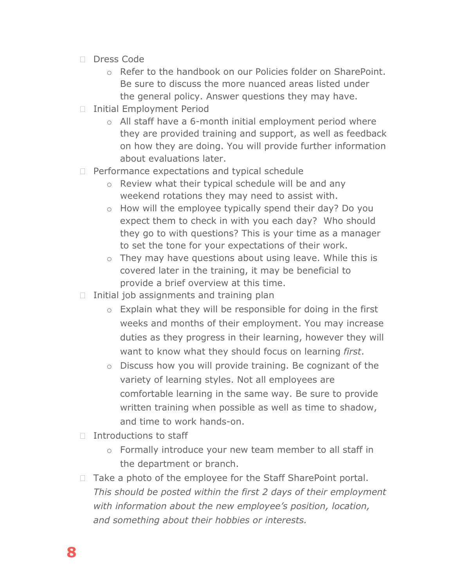- □ Dress Code
	- o Refer to the handbook on our Policies folder on SharePoint. Be sure to discuss the more nuanced areas listed under the general policy. Answer questions they may have.
- □ Initial Employment Period
	- o All staff have a 6-month initial employment period where they are provided training and support, as well as feedback on how they are doing. You will provide further information about evaluations later.
- □ Performance expectations and typical schedule
	- o Review what their typical schedule will be and any weekend rotations they may need to assist with.
	- o How will the employee typically spend their day? Do you expect them to check in with you each day? Who should they go to with questions? This is your time as a manager to set the tone for your expectations of their work.
	- o They may have questions about using leave. While this is covered later in the training, it may be beneficial to provide a brief overview at this time.
- $\Box$  Initial job assignments and training plan
	- o Explain what they will be responsible for doing in the first weeks and months of their employment. You may increase duties as they progress in their learning, however they will want to know what they should focus on learning *first*.
	- o Discuss how you will provide training. Be cognizant of the variety of learning styles. Not all employees are comfortable learning in the same way. Be sure to provide written training when possible as well as time to shadow, and time to work hands-on.
- $\Box$  Introductions to staff
	- o Formally introduce your new team member to all staff in the department or branch.
- $\Box$  Take a photo of the employee for the Staff SharePoint portal. *This should be posted within the first 2 days of their employment with information about the new employee's position, location, and something about their hobbies or interests.*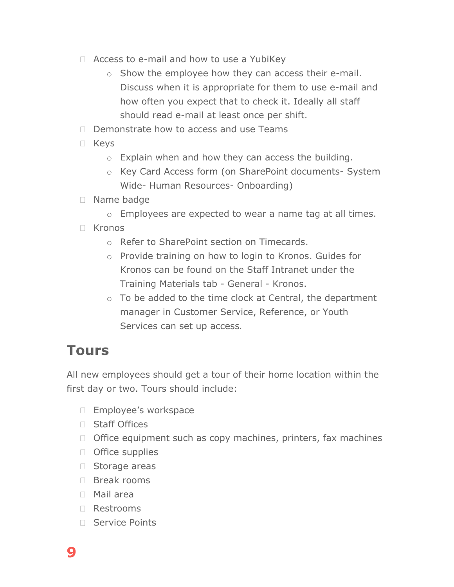- $\Box$  Access to e-mail and how to use a YubiKey
	- o Show the employee how they can access their e-mail. Discuss when it is appropriate for them to use e-mail and how often you expect that to check it. Ideally all staff should read e-mail at least once per shift.
- $\Box$  Demonstrate how to access and use Teams
- Keys
	- o Explain when and how they can access the building.
	- o Key Card Access form (on SharePoint documents- System Wide- Human Resources- Onboarding)
- Name badge
	- o Employees are expected to wear a name tag at all times.
- $\Box$  Kronos
	- o Refer to SharePoint section on Timecards.
	- o Provide training on how to login to Kronos. Guides for Kronos can be found on the Staff Intranet under the Training Materials tab - General - Kronos.
	- $\circ$  To be added to the time clock at Central, the department manager in Customer Service, Reference, or Youth Services can set up access*.*

## **Tours**

All new employees should get a tour of their home location within the first day or two. Tours should include:

- **Employee's workspace**
- □ Staff Offices
- $\Box$  Office equipment such as copy machines, printers, fax machines
- $\Box$  Office supplies
- □ Storage areas
- □ Break rooms
- Mail area
- Restrooms
- □ Service Points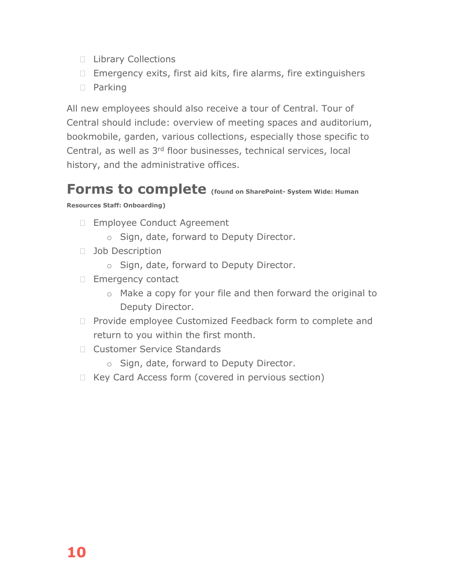- **Library Collections**
- $\Box$  Emergency exits, first aid kits, fire alarms, fire extinguishers
- D Parking

All new employees should also receive a tour of Central. Tour of Central should include: overview of meeting spaces and auditorium, bookmobile, garden, various collections, especially those specific to Central, as well as 3rd floor businesses, technical services, local history, and the administrative offices.

## **Forms to complete (found on SharePoint- System Wide: Human**

#### **Resources Staff: Onboarding)**

- □ Employee Conduct Agreement
	- o Sign, date, forward to Deputy Director.
- □ Job Description
	- o Sign, date, forward to Deputy Director.
- Emergency contact
	- o Make a copy for your file and then forward the original to Deputy Director.
- □ Provide employee Customized Feedback form to complete and return to you within the first month.
- □ Customer Service Standards
	- o Sign, date, forward to Deputy Director.
- $\Box$  Key Card Access form (covered in pervious section)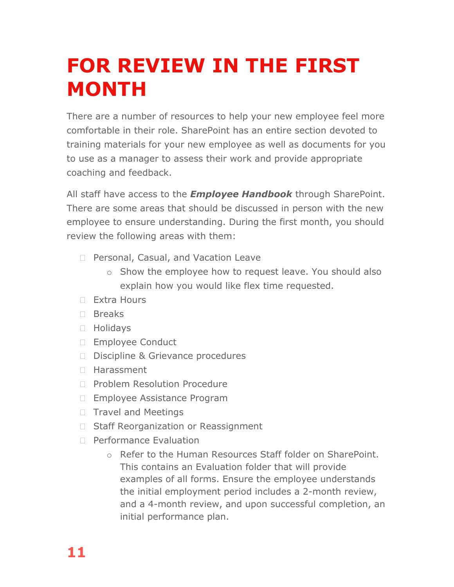# **FOR REVIEW IN THE FIRST MONTH**

There are a number of resources to help your new employee feel more comfortable in their role. SharePoint has an entire section devoted to training materials for your new employee as well as documents for you to use as a manager to assess their work and provide appropriate coaching and feedback.

All staff have access to the *Employee Handbook* through SharePoint. There are some areas that should be discussed in person with the new employee to ensure understanding. During the first month, you should review the following areas with them:

- □ Personal, Casual, and Vacation Leave
	- o Show the employee how to request leave. You should also explain how you would like flex time requested.
- Extra Hours
- Breaks
- Holidays
- □ Employee Conduct
- D Discipline & Grievance procedures
- □ Harassment
- □ Problem Resolution Procedure
- □ Employee Assistance Program
- $\Box$  Travel and Meetings
- □ Staff Reorganization or Reassignment
- □ Performance Evaluation
	- o Refer to the Human Resources Staff folder on SharePoint. This contains an Evaluation folder that will provide examples of all forms. Ensure the employee understands the initial employment period includes a 2-month review, and a 4-month review, and upon successful completion, an initial performance plan.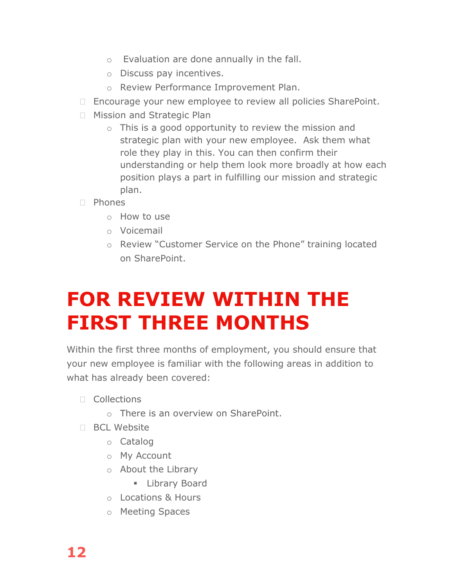- o Evaluation are done annually in the fall.
- o Discuss pay incentives.
- o Review Performance Improvement Plan.
- □ Encourage your new employee to review all policies SharePoint.
- **Mission and Strategic Plan** 
	- $\circ$  This is a good opportunity to review the mission and strategic plan with your new employee. Ask them what role they play in this. You can then confirm their understanding or help them look more broadly at how each position plays a part in fulfilling our mission and strategic plan.
- $\neg$  Phones
	- o How to use
	- o Voicemail
	- o Review "Customer Service on the Phone" training located on SharePoint.

# **FOR REVIEW WITHIN THE FIRST THREE MONTHS**

Within the first three months of employment, you should ensure that your new employee is familiar with the following areas in addition to what has already been covered:

- $\Box$  Collections
	- o There is an overview on SharePoint.
- □ BCL Website
	- o Catalog
	- o My Account
	- o About the Library
		- **E** Library Board
	- o Locations & Hours
	- o Meeting Spaces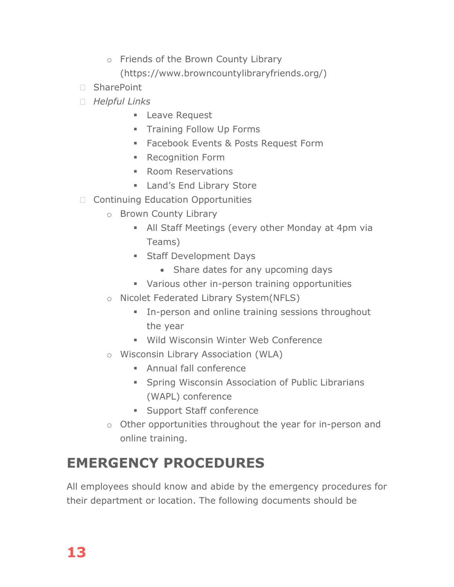- o Friends of the Brown County Library (https://www.browncountylibraryfriends.org/)
- SharePoint
- *Helpful Links*
	- **Leave Request**
	- **Training Follow Up Forms**
	- **Facebook Events & Posts Request Form**
	- **Recognition Form**
	- **Room Reservations**
	- **Land's End Library Store**
- □ Continuing Education Opportunities
	- o Brown County Library
		- All Staff Meetings (every other Monday at 4pm via Teams)
		- **Staff Development Days** 
			- Share dates for any upcoming days
		- **Various other in-person training opportunities**
	- o Nicolet Federated Library System(NFLS)
		- **In-person and online training sessions throughout** the year
		- Wild Wisconsin Winter Web Conference
	- o Wisconsin Library Association (WLA)
		- Annual fall conference
		- **Spring Wisconsin Association of Public Librarians** (WAPL) conference
		- **Support Staff conference**
	- o Other opportunities throughout the year for in-person and online training.

## **EMERGENCY PROCEDURES**

All employees should know and abide by the emergency procedures for their department or location. The following documents should be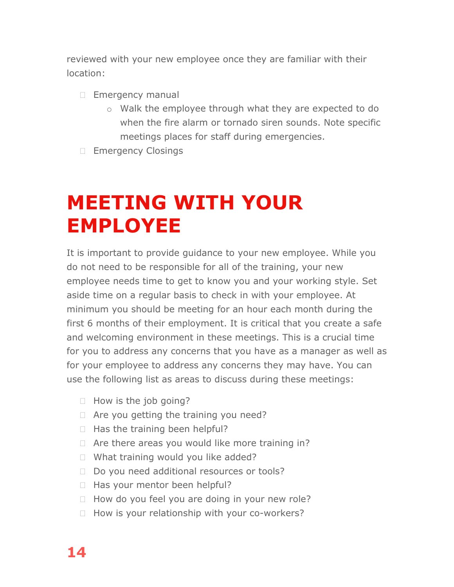reviewed with your new employee once they are familiar with their location:

- **Emergency manual** 
	- o Walk the employee through what they are expected to do when the fire alarm or tornado siren sounds. Note specific meetings places for staff during emergencies.
- **Emergency Closings**

# **MEETING WITH YOUR EMPLOYEE**

It is important to provide guidance to your new employee. While you do not need to be responsible for all of the training, your new employee needs time to get to know you and your working style. Set aside time on a regular basis to check in with your employee. At minimum you should be meeting for an hour each month during the first 6 months of their employment. It is critical that you create a safe and welcoming environment in these meetings. This is a crucial time for you to address any concerns that you have as a manager as well as for your employee to address any concerns they may have. You can use the following list as areas to discuss during these meetings:

- $\Box$  How is the job going?
- $\Box$  Are you getting the training you need?
- $\Box$  Has the training been helpful?
- $\Box$  Are there areas you would like more training in?
- □ What training would you like added?
- Do you need additional resources or tools?
- $\Box$  Has your mentor been helpful?
- $\Box$  How do you feel you are doing in your new role?
- $\Box$  How is your relationship with your co-workers?